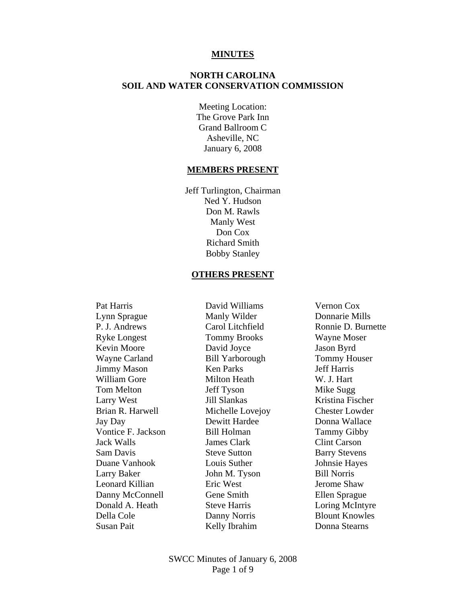#### **MINUTES**

# **NORTH CAROLINA SOIL AND WATER CONSERVATION COMMISSION**

Meeting Location: The Grove Park Inn Grand Ballroom C Asheville, NC January 6, 2008

#### **MEMBERS PRESENT**

Jeff Turlington, Chairman Ned Y. Hudson Don M. Rawls Manly West Don Cox Richard Smith Bobby Stanley

#### **OTHERS PRESENT**

 Pat Harris David Williams Vernon Cox Lynn Sprague Manly Wilder Donnarie Mills P. J. Andrews Carol Litchfield Ronnie D. Burnette Ryke Longest Tommy Brooks Wayne Moser Kevin Moore David Joyce Jason Byrd Wayne Carland Bill Yarborough Tommy Houser Jimmy Mason Ken Parks Jeff Harris William Gore Milton Heath W. J. Hart Tom Melton Jeff Tyson Mike Sugg Larry West Jill Slankas Kristina Fischer Brian R. Harwell Michelle Lovejoy Chester Lowder Jay Day Dewitt Hardee Donna Wallace Vontice F. Jackson Bill Holman Tammy Gibby Jack Walls James Clark Clint Carson Sam Davis Steve Sutton Barry Stevens Duane Vanhook Louis Suther Johnsie Hayes Larry Baker John M. Tyson Bill Norris Leonard Killian Eric West Jerome Shaw Danny McConnell Gene Smith Ellen Sprague Donald A. Heath Steve Harris Loring McIntyre Della Cole Danny Norris Blount Knowles

Susan Pait **Kelly Ibrahim** Donna Stearns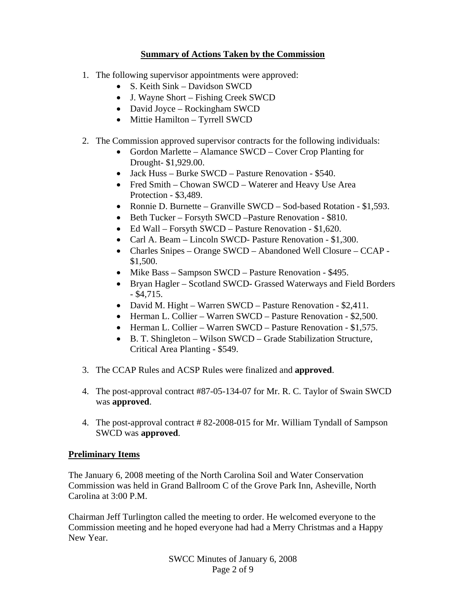# **Summary of Actions Taken by the Commission**

- 1. The following supervisor appointments were approved:
	- S. Keith Sink Davidson SWCD
	- J. Wayne Short Fishing Creek SWCD
	- David Joyce Rockingham SWCD
	- Mittie Hamilton Tyrrell SWCD
- 2. The Commission approved supervisor contracts for the following individuals:
	- Gordon Marlette Alamance SWCD Cover Crop Planting for Drought- \$1,929.00.
	- Jack Huss Burke SWCD Pasture Renovation \$540.
	- Fred Smith Chowan SWCD Waterer and Heavy Use Area Protection - \$3,489.
	- Ronnie D. Burnette Granville SWCD Sod-based Rotation \$1,593.
	- Beth Tucker Forsyth SWCD Pasture Renovation \$810.
	- Ed Wall Forsyth SWCD Pasture Renovation \$1,620.
	- Carl A. Beam Lincoln SWCD- Pasture Renovation \$1,300.
	- Charles Snipes Orange SWCD Abandoned Well Closure CCAP -\$1,500.
	- Mike Bass Sampson SWCD Pasture Renovation \$495.
	- Bryan Hagler Scotland SWCD- Grassed Waterways and Field Borders  $-$  \$4,715.
	- David M. Hight Warren SWCD Pasture Renovation \$2,411.
	- Herman L. Collier Warren SWCD Pasture Renovation \$2,500.
	- Herman L. Collier Warren SWCD Pasture Renovation \$1,575.
	- B. T. Shingleton Wilson SWCD Grade Stabilization Structure, Critical Area Planting - \$549.
- 3. The CCAP Rules and ACSP Rules were finalized and **approved**.
- 4. The post-approval contract #87-05-134-07 for Mr. R. C. Taylor of Swain SWCD was **approved**.
- 4. The post-approval contract # 82-2008-015 for Mr. William Tyndall of Sampson SWCD was **approved**.

# **Preliminary Items**

The January 6, 2008 meeting of the North Carolina Soil and Water Conservation Commission was held in Grand Ballroom C of the Grove Park Inn, Asheville, North Carolina at 3:00 P.M.

Chairman Jeff Turlington called the meeting to order. He welcomed everyone to the Commission meeting and he hoped everyone had had a Merry Christmas and a Happy New Year.

> SWCC Minutes of January 6, 2008 Page 2 of 9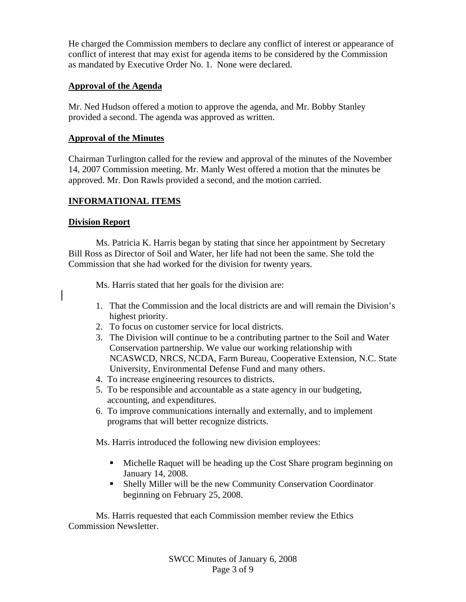He charged the Commission members to declare any conflict of interest or appearance of conflict of interest that may exist for agenda items to be considered by the Commission as mandated by Executive Order No. 1. None were declared.

### **Approval of the Agenda**

Mr. Ned Hudson offered a motion to approve the agenda, and Mr. Bobby Stanley provided a second. The agenda was approved as written.

### **Approval of the Minutes**

Chairman Turlington called for the review and approval of the minutes of the November 14, 2007 Commission meeting. Mr. Manly West offered a motion that the minutes be approved. Mr. Don Rawls provided a second, and the motion carried.

### **INFORMATIONAL ITEMS**

### **Division Report**

 Ms. Patricia K. Harris began by stating that since her appointment by Secretary Bill Ross as Director of Soil and Water, her life had not been the same. She told the Commission that she had worked for the division for twenty years.

Ms. Harris stated that her goals for the division are:

- 1. That the Commission and the local districts are and will remain the Division's highest priority.
- 2. To focus on customer service for local districts.
- 3. The Division will continue to be a contributing partner to the Soil and Water Conservation partnership. We value our working relationship with NCASWCD, NRCS, NCDA, Farm Bureau, Cooperative Extension, N.C. State University, Environmental Defense Fund and many others.
- 4. To increase engineering resources to districts.
- 5. To be responsible and accountable as a state agency in our budgeting, accounting, and expenditures.
- 6. To improve communications internally and externally, and to implement programs that will better recognize districts.

Ms. Harris introduced the following new division employees:

- Michelle Raquet will be heading up the Cost Share program beginning on January 14, 2008.
- Shelly Miller will be the new Community Conservation Coordinator beginning on February 25, 2008.

 Ms. Harris requested that each Commission member review the Ethics Commission Newsletter.

> SWCC Minutes of January 6, 2008 Page 3 of 9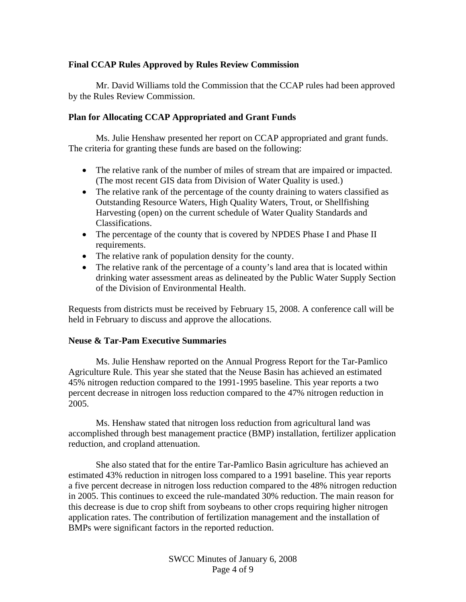### **Final CCAP Rules Approved by Rules Review Commission**

 Mr. David Williams told the Commission that the CCAP rules had been approved by the Rules Review Commission.

#### **Plan for Allocating CCAP Appropriated and Grant Funds**

Ms. Julie Henshaw presented her report on CCAP appropriated and grant funds. The criteria for granting these funds are based on the following:

- The relative rank of the number of miles of stream that are impaired or impacted. (The most recent GIS data from Division of Water Quality is used.)
- The relative rank of the percentage of the county draining to waters classified as Outstanding Resource Waters, High Quality Waters, Trout, or Shellfishing Harvesting (open) on the current schedule of Water Quality Standards and Classifications.
- The percentage of the county that is covered by NPDES Phase I and Phase II requirements.
- The relative rank of population density for the county.
- The relative rank of the percentage of a county's land area that is located within drinking water assessment areas as delineated by the Public Water Supply Section of the Division of Environmental Health.

Requests from districts must be received by February 15, 2008. A conference call will be held in February to discuss and approve the allocations.

#### **Neuse & Tar-Pam Executive Summaries**

 Ms. Julie Henshaw reported on the Annual Progress Report for the Tar-Pamlico Agriculture Rule. This year she stated that the Neuse Basin has achieved an estimated 45% nitrogen reduction compared to the 1991-1995 baseline. This year reports a two percent decrease in nitrogen loss reduction compared to the 47% nitrogen reduction in 2005.

 Ms. Henshaw stated that nitrogen loss reduction from agricultural land was accomplished through best management practice (BMP) installation, fertilizer application reduction, and cropland attenuation.

 She also stated that for the entire Tar-Pamlico Basin agriculture has achieved an estimated 43% reduction in nitrogen loss compared to a 1991 baseline. This year reports a five percent decrease in nitrogen loss reduction compared to the 48% nitrogen reduction in 2005. This continues to exceed the rule-mandated 30% reduction. The main reason for this decrease is due to crop shift from soybeans to other crops requiring higher nitrogen application rates. The contribution of fertilization management and the installation of BMPs were significant factors in the reported reduction.

> SWCC Minutes of January 6, 2008 Page 4 of 9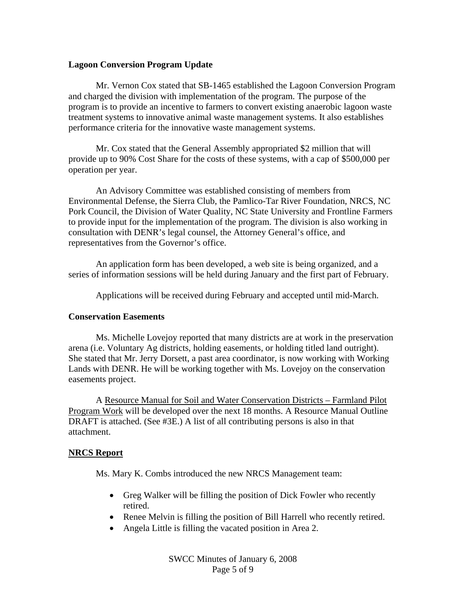#### **Lagoon Conversion Program Update**

 Mr. Vernon Cox stated that SB-1465 established the Lagoon Conversion Program and charged the division with implementation of the program. The purpose of the program is to provide an incentive to farmers to convert existing anaerobic lagoon waste treatment systems to innovative animal waste management systems. It also establishes performance criteria for the innovative waste management systems.

 Mr. Cox stated that the General Assembly appropriated \$2 million that will provide up to 90% Cost Share for the costs of these systems, with a cap of \$500,000 per operation per year.

 An Advisory Committee was established consisting of members from Environmental Defense, the Sierra Club, the Pamlico-Tar River Foundation, NRCS, NC Pork Council, the Division of Water Quality, NC State University and Frontline Farmers to provide input for the implementation of the program. The division is also working in consultation with DENR's legal counsel, the Attorney General's office, and representatives from the Governor's office.

 An application form has been developed, a web site is being organized, and a series of information sessions will be held during January and the first part of February.

Applications will be received during February and accepted until mid-March.

#### **Conservation Easements**

 Ms. Michelle Lovejoy reported that many districts are at work in the preservation arena (i.e. Voluntary Ag districts, holding easements, or holding titled land outright). She stated that Mr. Jerry Dorsett, a past area coordinator, is now working with Working Lands with DENR. He will be working together with Ms. Lovejoy on the conservation easements project.

 A Resource Manual for Soil and Water Conservation Districts – Farmland Pilot Program Work will be developed over the next 18 months. A Resource Manual Outline DRAFT is attached. (See #3E.) A list of all contributing persons is also in that attachment.

### **NRCS Report**

Ms. Mary K. Combs introduced the new NRCS Management team:

- Greg Walker will be filling the position of Dick Fowler who recently retired.
- Renee Melvin is filling the position of Bill Harrell who recently retired.
- Angela Little is filling the vacated position in Area 2.

SWCC Minutes of January 6, 2008 Page 5 of 9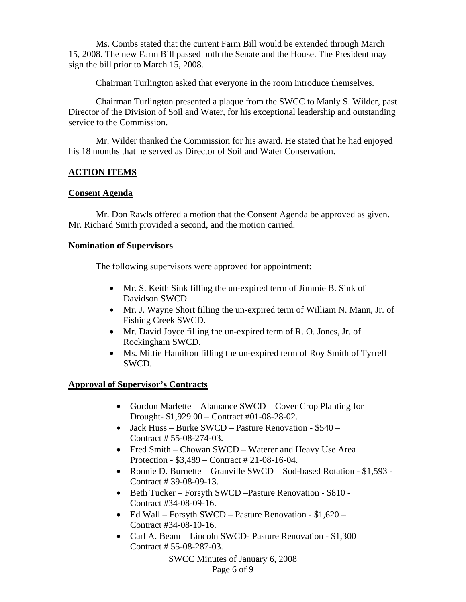Ms. Combs stated that the current Farm Bill would be extended through March 15, 2008. The new Farm Bill passed both the Senate and the House. The President may sign the bill prior to March 15, 2008.

Chairman Turlington asked that everyone in the room introduce themselves.

 Chairman Turlington presented a plaque from the SWCC to Manly S. Wilder, past Director of the Division of Soil and Water, for his exceptional leadership and outstanding service to the Commission.

 Mr. Wilder thanked the Commission for his award. He stated that he had enjoyed his 18 months that he served as Director of Soil and Water Conservation.

# **ACTION ITEMS**

### **Consent Agenda**

 Mr. Don Rawls offered a motion that the Consent Agenda be approved as given. Mr. Richard Smith provided a second, and the motion carried.

### **Nomination of Supervisors**

The following supervisors were approved for appointment:

- Mr. S. Keith Sink filling the un-expired term of Jimmie B. Sink of Davidson SWCD.
- Mr. J. Wayne Short filling the un-expired term of William N. Mann, Jr. of Fishing Creek SWCD.
- Mr. David Joyce filling the un-expired term of R. O. Jones, Jr. of Rockingham SWCD.
- Ms. Mittie Hamilton filling the un-expired term of Roy Smith of Tyrrell SWCD.

# **Approval of Supervisor's Contracts**

- Gordon Marlette Alamance SWCD Cover Crop Planting for Drought- \$1,929.00 – Contract #01-08-28-02.
- Jack Huss Burke SWCD Pasture Renovation \$540 Contract # 55-08-274-03.
- Fred Smith Chowan SWCD Waterer and Heavy Use Area Protection - \$3,489 – Contract # 21-08-16-04.
- Ronnie D. Burnette Granville SWCD Sod-based Rotation \$1,593 Contract # 39-08-09-13.
- Beth Tucker Forsyth SWCD –Pasture Renovation \$810 Contract #34-08-09-16.
- Ed Wall Forsyth SWCD Pasture Renovation \$1,620 Contract #34-08-10-16.
- Carl A. Beam Lincoln SWCD- Pasture Renovation \$1,300 Contract # 55-08-287-03.

SWCC Minutes of January 6, 2008 Page 6 of 9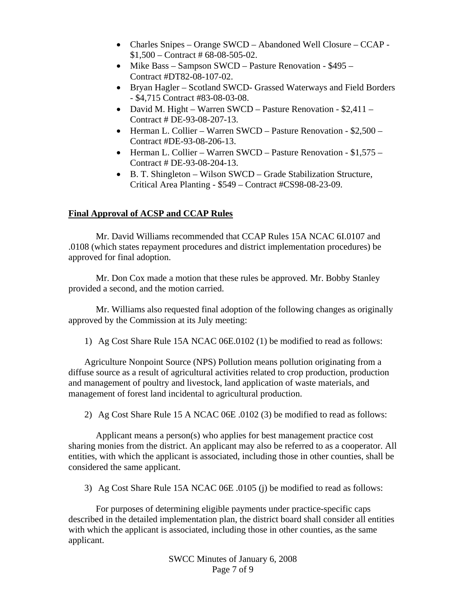- Charles Snipes Orange SWCD Abandoned Well Closure CCAP -\$1,500 – Contract # 68-08-505-02.
- Mike Bass Sampson SWCD Pasture Renovation \$495 Contract #DT82-08-107-02.
- Bryan Hagler Scotland SWCD- Grassed Waterways and Field Borders - \$4,715 Contract #83-08-03-08.
- David M. Hight Warren SWCD Pasture Renovation \$2,411 Contract # DE-93-08-207-13.
- Herman L. Collier Warren SWCD Pasture Renovation \$2,500 Contract #DE-93-08-206-13.
- Herman L. Collier Warren SWCD Pasture Renovation \$1,575 Contract # DE-93-08-204-13.
- B. T. Shingleton Wilson SWCD Grade Stabilization Structure, Critical Area Planting - \$549 – Contract #CS98-08-23-09.

### **Final Approval of ACSP and CCAP Rules**

 Mr. David Williams recommended that CCAP Rules 15A NCAC 6I.0107 and .0108 (which states repayment procedures and district implementation procedures) be approved for final adoption.

 Mr. Don Cox made a motion that these rules be approved. Mr. Bobby Stanley provided a second, and the motion carried.

 Mr. Williams also requested final adoption of the following changes as originally approved by the Commission at its July meeting:

1) Ag Cost Share Rule 15A NCAC 06E.0102 (1) be modified to read as follows:

Agriculture Nonpoint Source (NPS) Pollution means pollution originating from a diffuse source as a result of agricultural activities related to crop production, production and management of poultry and livestock, land application of waste materials, and management of forest land incidental to agricultural production.

2) Ag Cost Share Rule 15 A NCAC 06E .0102 (3) be modified to read as follows:

 Applicant means a person(s) who applies for best management practice cost sharing monies from the district. An applicant may also be referred to as a cooperator. All entities, with which the applicant is associated, including those in other counties, shall be considered the same applicant.

3) Ag Cost Share Rule 15A NCAC 06E .0105 (j) be modified to read as follows:

 For purposes of determining eligible payments under practice-specific caps described in the detailed implementation plan, the district board shall consider all entities with which the applicant is associated, including those in other counties, as the same applicant.

> SWCC Minutes of January 6, 2008 Page 7 of 9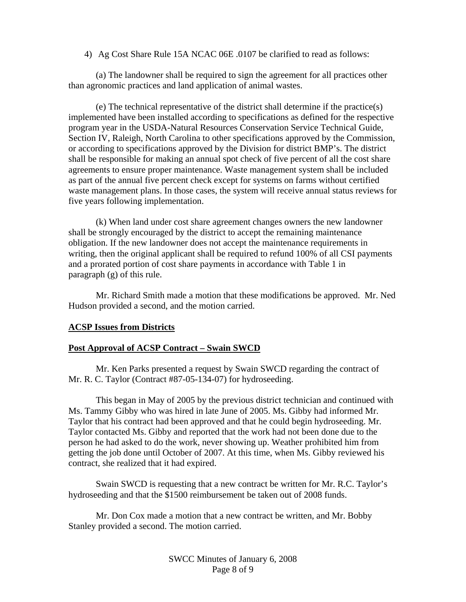4) Ag Cost Share Rule 15A NCAC 06E .0107 be clarified to read as follows:

 (a) The landowner shall be required to sign the agreement for all practices other than agronomic practices and land application of animal wastes.

 (e) The technical representative of the district shall determine if the practice(s) implemented have been installed according to specifications as defined for the respective program year in the USDA-Natural Resources Conservation Service Technical Guide, Section IV, Raleigh, North Carolina to other specifications approved by the Commission, or according to specifications approved by the Division for district BMP's. The district shall be responsible for making an annual spot check of five percent of all the cost share agreements to ensure proper maintenance. Waste management system shall be included as part of the annual five percent check except for systems on farms without certified waste management plans. In those cases, the system will receive annual status reviews for five years following implementation.

 (k) When land under cost share agreement changes owners the new landowner shall be strongly encouraged by the district to accept the remaining maintenance obligation. If the new landowner does not accept the maintenance requirements in writing, then the original applicant shall be required to refund 100% of all CSI payments and a prorated portion of cost share payments in accordance with Table 1 in paragraph (g) of this rule.

 Mr. Richard Smith made a motion that these modifications be approved. Mr. Ned Hudson provided a second, and the motion carried.

#### **ACSP Issues from Districts**

#### **Post Approval of ACSP Contract – Swain SWCD**

 Mr. Ken Parks presented a request by Swain SWCD regarding the contract of Mr. R. C. Taylor (Contract #87-05-134-07) for hydroseeding.

This began in May of 2005 by the previous district technician and continued with Ms. Tammy Gibby who was hired in late June of 2005. Ms. Gibby had informed Mr. Taylor that his contract had been approved and that he could begin hydroseeding. Mr. Taylor contacted Ms. Gibby and reported that the work had not been done due to the person he had asked to do the work, never showing up. Weather prohibited him from getting the job done until October of 2007. At this time, when Ms. Gibby reviewed his contract, she realized that it had expired.

 Swain SWCD is requesting that a new contract be written for Mr. R.C. Taylor's hydroseeding and that the \$1500 reimbursement be taken out of 2008 funds.

 Mr. Don Cox made a motion that a new contract be written, and Mr. Bobby Stanley provided a second. The motion carried.

> SWCC Minutes of January 6, 2008 Page 8 of 9